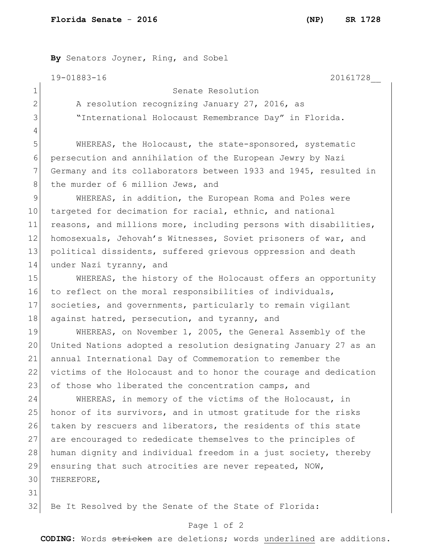**By** Senators Joyner, Ring, and Sobel

19-01883-16 20161728\_\_

4

```
1 Senate Resolution
```
2 A resolution recognizing January 27, 2016, as 3 "International Holocaust Remembrance Day" in Florida.

5 WHEREAS, the Holocaust, the state-sponsored, systematic 6 persecution and annihilation of the European Jewry by Nazi 7 Germany and its collaborators between 1933 and 1945, resulted in 8 the murder of 6 million Jews, and

9 WHEREAS, in addition, the European Roma and Poles were 10 targeted for decimation for racial, ethnic, and national 11 reasons, and millions more, including persons with disabilities, 12 homosexuals, Jehovah's Witnesses, Soviet prisoners of war, and 13 political dissidents, suffered grievous oppression and death 14 under Nazi tyranny, and

15 WHEREAS, the history of the Holocaust offers an opportunity 16 to reflect on the moral responsibilities of individuals, 17 societies, and governments, particularly to remain vigilant 18 against hatred, persecution, and tyranny, and

 WHEREAS, on November 1, 2005, the General Assembly of the United Nations adopted a resolution designating January 27 as an annual International Day of Commemoration to remember the victims of the Holocaust and to honor the courage and dedication 23 of those who liberated the concentration camps, and

24 WHEREAS, in memory of the victims of the Holocaust, in 25 honor of its survivors, and in utmost gratitude for the risks 26 taken by rescuers and liberators, the residents of this state 27 are encouraged to rededicate themselves to the principles of 28 human dignity and individual freedom in a just society, thereby 29 ensuring that such atrocities are never repeated, NOW, 30 THEREFORE,

31

32 Be It Resolved by the Senate of the State of Florida:

## Page 1 of 2

**CODING**: Words stricken are deletions; words underlined are additions.